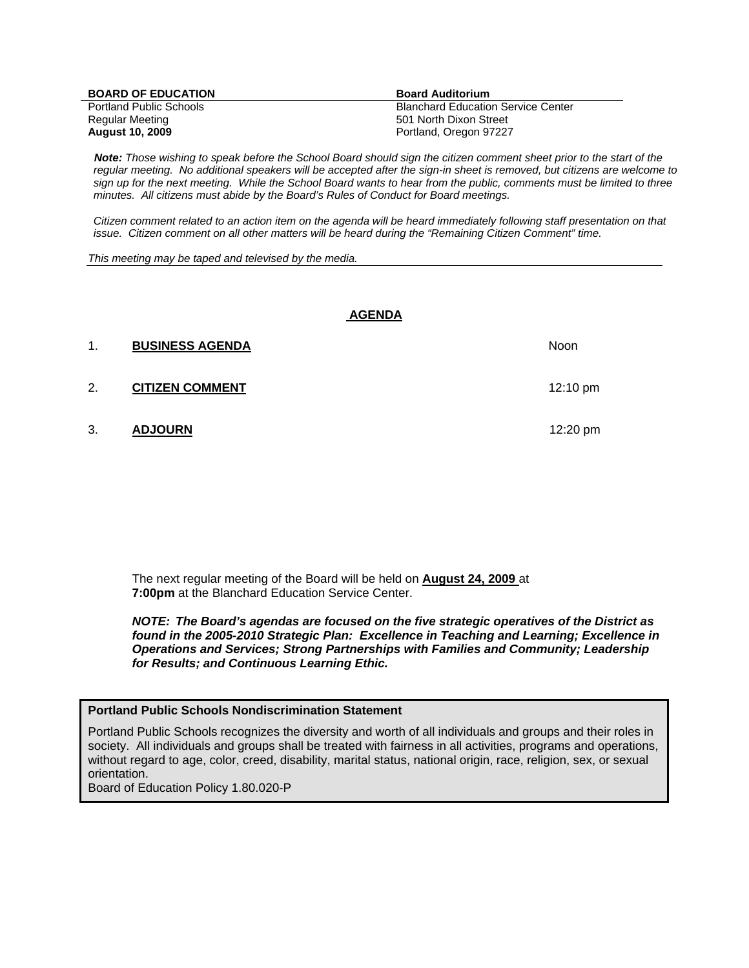| <b>BOARD OF EDUCATION</b>      | <b>Board Auditorium</b>                   |
|--------------------------------|-------------------------------------------|
| <b>Portland Public Schools</b> | <b>Blanchard Education Service Center</b> |
| Regular Meeting                | 501 North Dixon Street                    |
| <b>August 10, 2009</b>         | Portland, Oregon 97227                    |

 *Note: Those wishing to speak before the School Board should sign the citizen comment sheet prior to the start of the regular meeting. No additional speakers will be accepted after the sign-in sheet is removed, but citizens are welcome to sign up for the next meeting. While the School Board wants to hear from the public, comments must be limited to three minutes. All citizens must abide by the Board's Rules of Conduct for Board meetings.* 

 *Citizen comment related to an action item on the agenda will be heard immediately following staff presentation on that issue. Citizen comment on all other matters will be heard during the "Remaining Citizen Comment" time.* 

*This meeting may be taped and televised by the media.* 

#### **AGENDA**

| 1. | <b>BUSINESS AGENDA</b> | <b>Noon</b>        |
|----|------------------------|--------------------|
| 2. | <b>CITIZEN COMMENT</b> | $12:10 \text{ pm}$ |
| 3. | <b>ADJOURN</b>         | 12:20 $pm$         |

The next regular meeting of the Board will be held on **August 24, 2009** at **7:00pm** at the Blanchard Education Service Center.

*NOTE: The Board's agendas are focused on the five strategic operatives of the District as found in the 2005-2010 Strategic Plan: Excellence in Teaching and Learning; Excellence in Operations and Services; Strong Partnerships with Families and Community; Leadership for Results; and Continuous Learning Ethic.* 

#### **Portland Public Schools Nondiscrimination Statement**

Portland Public Schools recognizes the diversity and worth of all individuals and groups and their roles in society. All individuals and groups shall be treated with fairness in all activities, programs and operations, without regard to age, color, creed, disability, marital status, national origin, race, religion, sex, or sexual orientation.

Board of Education Policy 1.80.020-P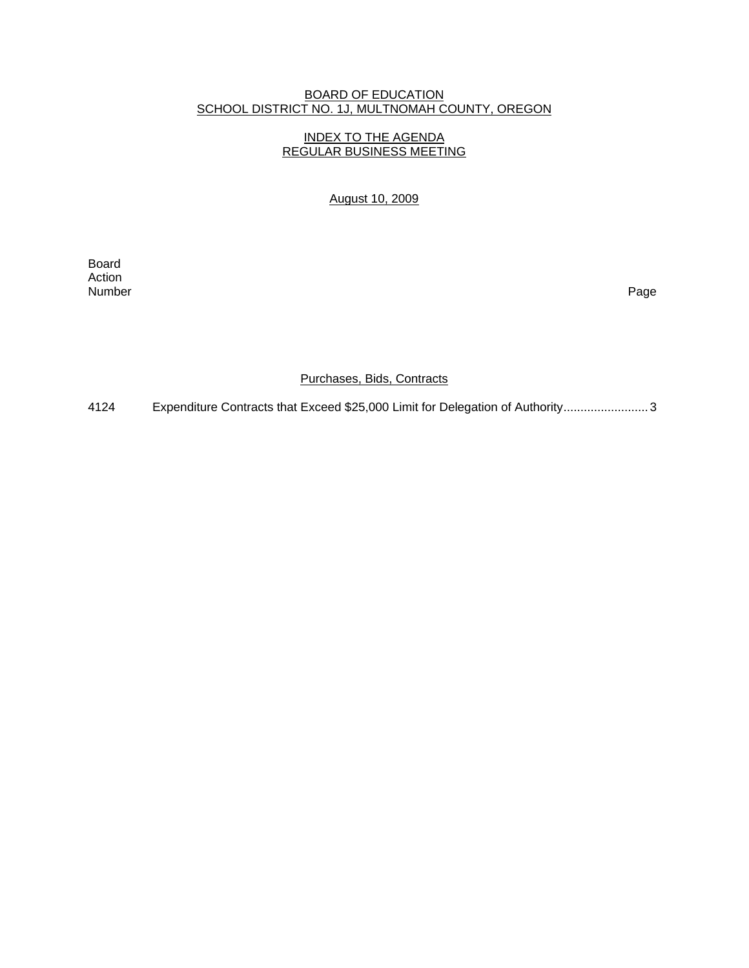# BOARD OF EDUCATION SCHOOL DISTRICT NO. 1J, MULTNOMAH COUNTY, OREGON

# INDEX TO THE AGENDA REGULAR BUSINESS MEETING

August 10, 2009

**Board Board** Action<br>Number Number Page

Purchases, Bids, Contracts

4124 Expenditure Contracts that Exceed \$25,000 Limit for Delegation of Authority..............................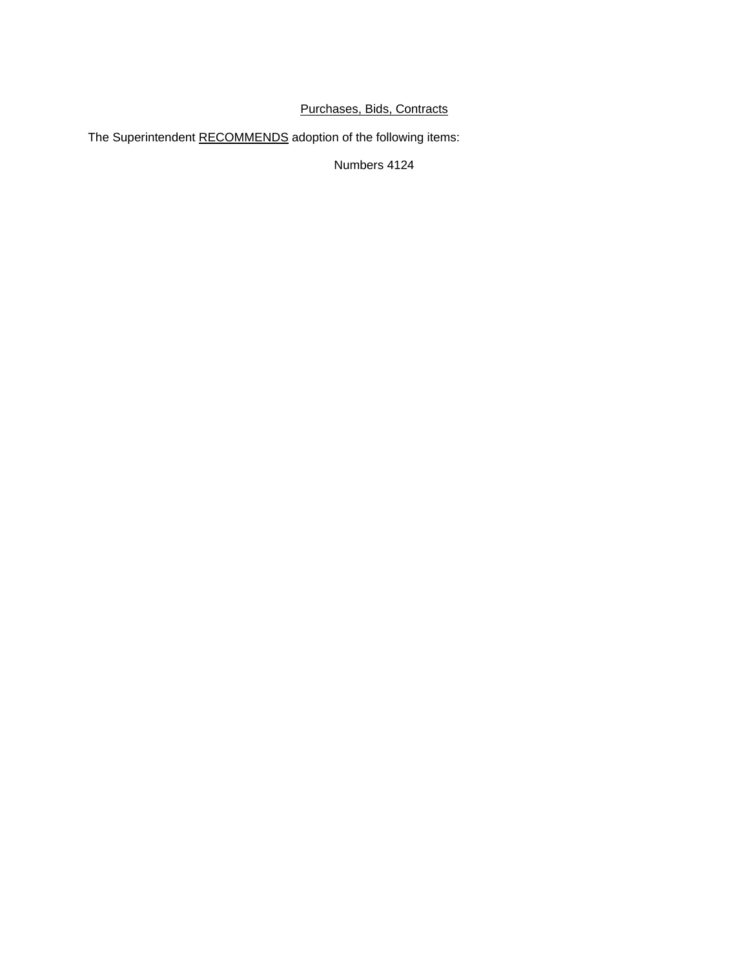# Purchases, Bids, Contracts

The Superintendent RECOMMENDS adoption of the following items:

Numbers 4124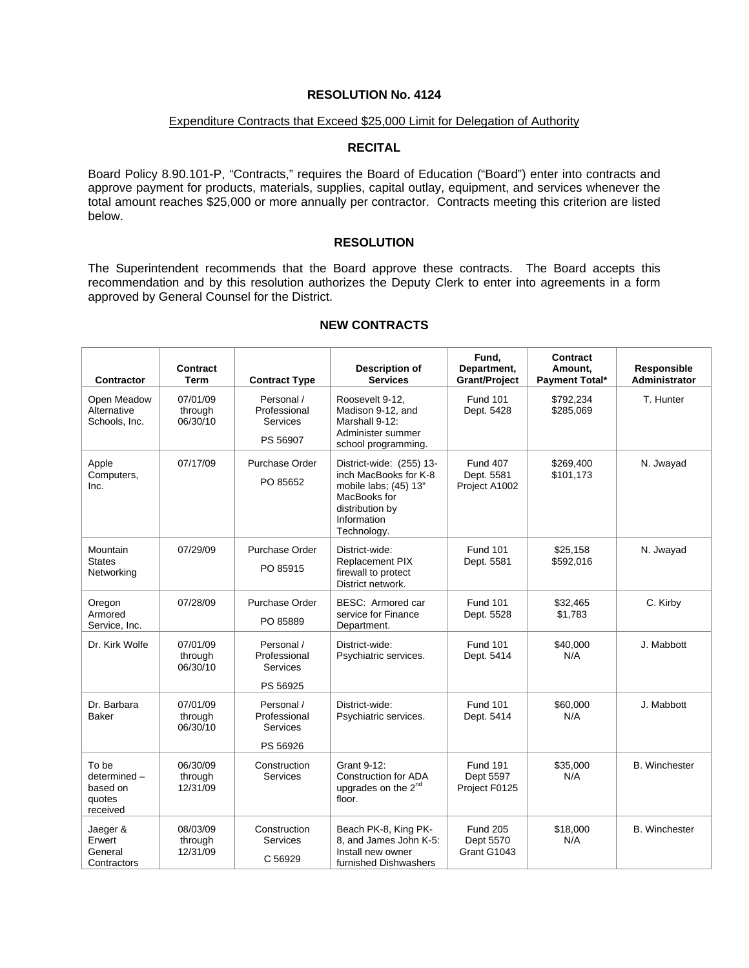### **RESOLUTION No. 4124**

#### Expenditure Contracts that Exceed \$25,000 Limit for Delegation of Authority

## **RECITAL**

Board Policy 8.90.101-P, "Contracts," requires the Board of Education ("Board") enter into contracts and approve payment for products, materials, supplies, capital outlay, equipment, and services whenever the total amount reaches \$25,000 or more annually per contractor. Contracts meeting this criterion are listed below.

#### **RESOLUTION**

The Superintendent recommends that the Board approve these contracts. The Board accepts this recommendation and by this resolution authorizes the Deputy Clerk to enter into agreements in a form approved by General Counsel for the District.

| <b>Contractor</b>                                      | <b>Contract</b><br>Term         | <b>Contract Type</b>                                      | <b>Description of</b><br><b>Services</b>                                                                                                    | Fund,<br>Department,<br><b>Grant/Project</b>   | Contract<br>Amount,<br>Payment Total* | <b>Responsible</b><br><b>Administrator</b> |
|--------------------------------------------------------|---------------------------------|-----------------------------------------------------------|---------------------------------------------------------------------------------------------------------------------------------------------|------------------------------------------------|---------------------------------------|--------------------------------------------|
| Open Meadow<br>Alternative<br>Schools, Inc.            | 07/01/09<br>through<br>06/30/10 | Personal /<br>Professional<br><b>Services</b><br>PS 56907 | Roosevelt 9-12,<br>Madison 9-12, and<br>Marshall 9-12:<br>Administer summer<br>school programming.                                          | <b>Fund 101</b><br>Dept. 5428                  | \$792,234<br>\$285,069                | T. Hunter                                  |
| Apple<br>Computers,<br>Inc.                            | 07/17/09                        | Purchase Order<br>PO 85652                                | District-wide: (255) 13-<br>inch MacBooks for K-8<br>mobile labs; (45) 13"<br>MacBooks for<br>distribution by<br>Information<br>Technology. | <b>Fund 407</b><br>Dept. 5581<br>Project A1002 | \$269.400<br>\$101,173                | N. Jwayad                                  |
| Mountain<br><b>States</b><br>Networking                | 07/29/09                        | Purchase Order<br>PO 85915                                | District-wide:<br><b>Replacement PIX</b><br>firewall to protect<br>District network.                                                        | <b>Fund 101</b><br>Dept. 5581                  | \$25,158<br>\$592,016                 | N. Jwayad                                  |
| Oregon<br>Armored<br>Service, Inc.                     | 07/28/09                        | Purchase Order<br>PO 85889                                | BESC: Armored car<br>service for Finance<br>Department.                                                                                     | <b>Fund 101</b><br>Dept. 5528                  | \$32,465<br>\$1,783                   | C. Kirby                                   |
| Dr. Kirk Wolfe                                         | 07/01/09<br>through<br>06/30/10 | Personal /<br>Professional<br><b>Services</b><br>PS 56925 | District-wide:<br>Psychiatric services.                                                                                                     | <b>Fund 101</b><br>Dept. 5414                  | \$40,000<br>N/A                       | J. Mabbott                                 |
| Dr. Barbara<br><b>Baker</b>                            | 07/01/09<br>through<br>06/30/10 | Personal /<br>Professional<br><b>Services</b><br>PS 56926 | District-wide:<br>Psychiatric services.                                                                                                     | <b>Fund 101</b><br>Dept. 5414                  | \$60,000<br>N/A                       | J. Mabbott                                 |
| To be<br>determined-<br>based on<br>quotes<br>received | 06/30/09<br>through<br>12/31/09 | Construction<br><b>Services</b>                           | Grant 9-12:<br><b>Construction for ADA</b><br>upgrades on the 2 <sup>nd</sup><br>floor.                                                     | <b>Fund 191</b><br>Dept 5597<br>Project F0125  | \$35,000<br>N/A                       | <b>B.</b> Winchester                       |
| Jaeger &<br>Erwert<br>General<br>Contractors           | 08/03/09<br>through<br>12/31/09 | Construction<br>Services<br>C 56929                       | Beach PK-8, King PK-<br>8, and James John K-5:<br>Install new owner<br>furnished Dishwashers                                                | <b>Fund 205</b><br>Dept 5570<br>Grant G1043    | \$18,000<br>N/A                       | <b>B.</b> Winchester                       |

## **NEW CONTRACTS**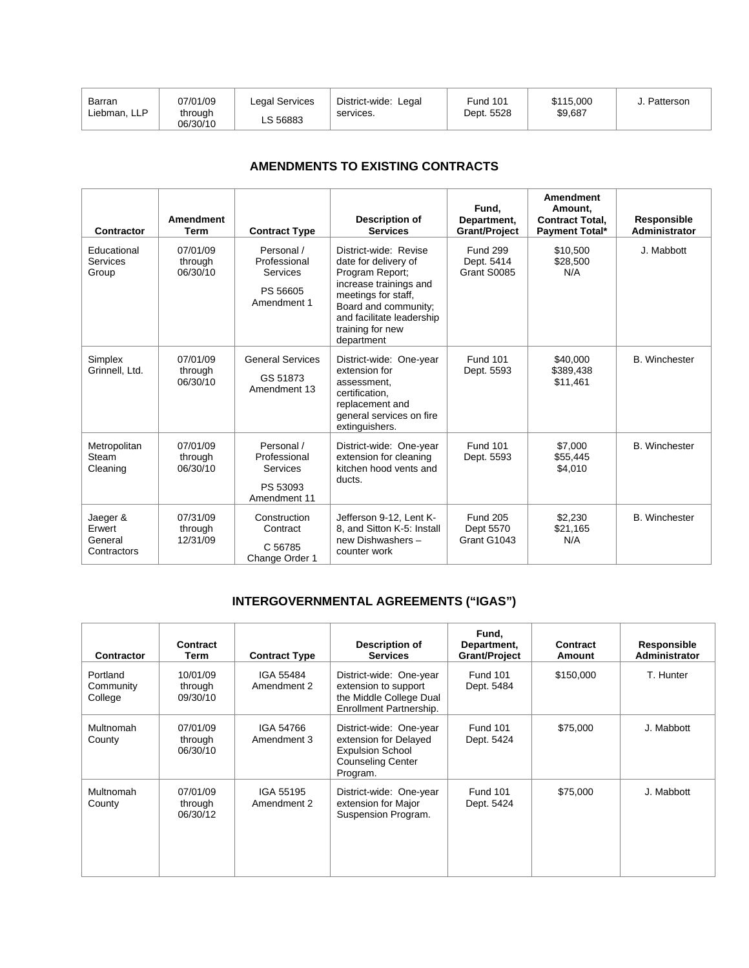| Barran       | 07/01/09            | Legal Services | District-wide: Legal | <b>Fund 101</b> | \$115,000 | Patterson |
|--------------|---------------------|----------------|----------------------|-----------------|-----------|-----------|
| Liebman, LLP | through<br>06/30/10 | ∟S 56883       | services.            | Dept. 5528      | \$9,687   |           |

# **AMENDMENTS TO EXISTING CONTRACTS**

| Contractor                                   | <b>Amendment</b><br><b>Term</b> | <b>Contract Type</b>                                               | Description of<br><b>Services</b>                                                                                                                                                                        | Fund.<br>Department,<br><b>Grant/Project</b> | <b>Amendment</b><br>Amount.<br><b>Contract Total.</b><br><b>Payment Total*</b> | Responsible<br>Administrator |
|----------------------------------------------|---------------------------------|--------------------------------------------------------------------|----------------------------------------------------------------------------------------------------------------------------------------------------------------------------------------------------------|----------------------------------------------|--------------------------------------------------------------------------------|------------------------------|
| Educational<br>Services<br>Group             | 07/01/09<br>through<br>06/30/10 | Personal /<br>Professional<br>Services<br>PS 56605<br>Amendment 1  | District-wide: Revise<br>date for delivery of<br>Program Report;<br>increase trainings and<br>meetings for staff,<br>Board and community;<br>and facilitate leadership<br>training for new<br>department | <b>Fund 299</b><br>Dept. 5414<br>Grant S0085 | \$10,500<br>\$28,500<br>N/A                                                    | J. Mabbott                   |
| Simplex<br>Grinnell, Ltd.                    | 07/01/09<br>through<br>06/30/10 | <b>General Services</b><br>GS 51873<br>Amendment 13                | District-wide: One-year<br>extension for<br>assessment.<br>certification,<br>replacement and<br>general services on fire<br>extinguishers.                                                               | <b>Fund 101</b><br>Dept. 5593                | \$40,000<br>\$389,438<br>\$11,461                                              | <b>B.</b> Winchester         |
| Metropolitan<br>Steam<br>Cleaning            | 07/01/09<br>through<br>06/30/10 | Personal /<br>Professional<br>Services<br>PS 53093<br>Amendment 11 | District-wide: One-year<br>extension for cleaning<br>kitchen hood vents and<br>ducts.                                                                                                                    | <b>Fund 101</b><br>Dept. 5593                | \$7,000<br>\$55,445<br>\$4,010                                                 | <b>B.</b> Winchester         |
| Jaeger &<br>Erwert<br>General<br>Contractors | 07/31/09<br>through<br>12/31/09 | Construction<br>Contract<br>C 56785<br>Change Order 1              | Jefferson 9-12, Lent K-<br>8, and Sitton K-5: Install<br>new Dishwashers -<br>counter work                                                                                                               | <b>Fund 205</b><br>Dept 5570<br>Grant G1043  | \$2,230<br>\$21,165<br>N/A                                                     | <b>B.</b> Winchester         |

# **INTERGOVERNMENTAL AGREEMENTS ("IGAS")**

| Contractor                       | Contract<br>Term                | <b>Contract Type</b>     | Description of<br><b>Services</b>                                                                                   | Fund,<br>Department,<br><b>Grant/Project</b> | Contract<br>Amount | Responsible<br><b>Administrator</b> |
|----------------------------------|---------------------------------|--------------------------|---------------------------------------------------------------------------------------------------------------------|----------------------------------------------|--------------------|-------------------------------------|
| Portland<br>Community<br>College | 10/01/09<br>through<br>09/30/10 | IGA 55484<br>Amendment 2 | District-wide: One-year<br>extension to support<br>the Middle College Dual<br>Enrollment Partnership.               | <b>Fund 101</b><br>Dept. 5484                | \$150,000          | T. Hunter                           |
| Multnomah<br>County              | 07/01/09<br>through<br>06/30/10 | IGA 54766<br>Amendment 3 | District-wide: One-year<br>extension for Delayed<br><b>Expulsion School</b><br><b>Counseling Center</b><br>Program. | <b>Fund 101</b><br>Dept. 5424                | \$75,000           | J. Mabbott                          |
| Multnomah<br>County              | 07/01/09<br>through<br>06/30/12 | IGA 55195<br>Amendment 2 | District-wide: One-year<br>extension for Major<br>Suspension Program.                                               | <b>Fund 101</b><br>Dept. 5424                | \$75,000           | J. Mabbott                          |